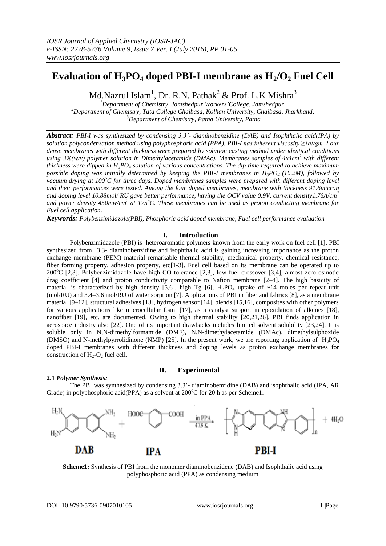# **Evaluation of H<sub>3</sub>PO<sub>4</sub> doped PBI-I membrane as**  $H_2/O_2$  **Fuel Cell**

Md.Nazrul Islam<sup>1</sup>, Dr. R.N. Pathak<sup>2</sup> & Prof. L.K Mishra<sup>3</sup>

*<sup>1</sup>Department of Chemistry, Jamshedpur Workers'College, Jamshedpur, <sup>2</sup>Department of Chemistry, Tata College Chaibasa, Kolhan University, Chaibasa, Jharkhand, <sup>3</sup>Department of Chemistry, Patna University, Patna*

*Abstract: PBI-I was synthesized by condensing 3,3'- diaminobenzidine (DAB) and Isophthalic acid(IPA) by solution polycondensation method using polyphosphoric acid (PPA). PBI-I has inherent viscosity ≥1dl/gm. Four dense membranes with different thickness were prepared by solution casting method under identical conditions using 3%(w/v) polymer solution in Dimethylacetamide (DMAc). Membranes samples of 4x4cm<sup>2</sup> with different thickness were dipped in H3PO<sup>4</sup> solution of various concentrations. The dip time required to achieve maximum possible doping was initially determined by keeping the PBI-I membranes in H3PO<sup>4</sup> (16.2M), followed by vacuum drying at 100<sup>o</sup>C for three days. Doped membranes samples were prepared with different doping level and their performances were tested. Among the four doped membranes, membrane with thickness 91.6micron and doping level 10.88mol/ RU gave better performance, having the OCV value 0.9V, current density1.76A/cm<sup>2</sup> and power density 450mw/cm<sup>2</sup>at 175<sup>o</sup>C. These membranes can be used as proton conducting membrane for Fuel cell application.*

*Keywords: Polybenzimidazole(PBI), Phosphoric acid doped membrane, Fuel cell performance evaluation*

## **I. Introduction**

Polybenzimidazole (PBI) is heteroaromatic polymers known from the early work on fuel cell [1]. PBI synthesized from 3,3- diaminobenzidine and isophthalic acid is gaining increasing importance as the proton exchange membrane (PEM) material remarkable thermal stability, mechanical property, chemical resistance, fiber forming property, adhesion property, etc[1-3]. Fuel cell based on its membrane can be operated up to  $200^{\circ}C$  [2,3]. Polybenzimidazole have high CO tolerance [2,3], low fuel crossover [3,4], almost zero osmotic drag coefficient [4] and proton conductivity comparable to Nafion membrane [2–4]. The high basicity of material is characterized by high density [5,6], high Tg [6],  $H_3PO_4$  uptake of ~14 moles per repeat unit (mol/RU) and 3.4–3.6 mol/RU of water sorption [7]. Applications of PBI in fiber and fabrics [8], as a membrane material [9–12], structural adhesives [13], hydrogen sensor [14], blends [15,16], composites with other polymers for various applications like microcellular foam [17], as a catalyst support in epoxidation of alkenes [18], nanofiber [19], etc. are documented. Owing to high thermal stability [20,21,26], PBI finds application in aerospace industry also [22]. One of its important drawbacks includes limited solvent solubility [23,24]. It is soluble only in N,N-dimethylformamide (DMF), N,N-dimethylacetamide (DMAc), dimethylsulphoxide (DMSO) and N-methylpyrrolidinone (NMP) [25]. In the present work, we are reporting application of  $H_3PO_4$ doped PBI-I membranes with different thickness and doping levels as proton exchange membranes for construction of  $H_2-O_2$  fuel cell.

#### **2.1** *Polymer Synthesis:*

#### **II. Experimental**

The PBI was synthesized by condensing 3,3'- diaminobenzidine (DAB) and isophthalic acid (IPA, AR Grade) in polyphosphoric acid(PPA) as a solvent at  $200^{\circ}$ C for 20 h as per Scheme1.



**Scheme1:** Synthesis of PBI from the monomer diaminobenzidene (DAB) and Isophthalic acid using polyphosphoric acid (PPA) as condensing medium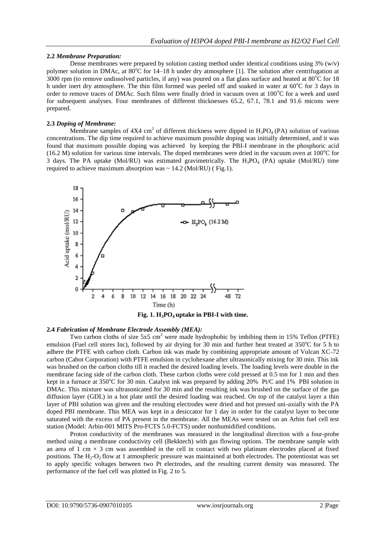#### **2.2** *Membrane Preparation:*

Dense membranes were prepared by solution casting method under identical conditions using  $3\%$  (w/v) polymer solution in DMAc, at  $80^{\circ}$ C for 14–18 h under dry atmosphere [1]. The solution after centrifugation at  $3000$  rpm (to remove undissolved particles, if any) was poured on a flat glass surface and heated at  $80^{\circ}$ C for 18 h under inert dry atmosphere. The thin film formed was peeled off and soaked in water at  $60^{\circ}$ C for 3 days in order to remove traces of DMAc. Such films were finally dried in vacuum oven at  $100^{\circ}$ C for a week and used for subsequent analyses. Four membranes of different thicknesses 65.2, 67.1, 78.1 and 91.6 micons were prepared.

## **2.3** *Doping of Membrane:*

Membrane samples of  $4X4 \text{ cm}^2$  of different thickness were dipped in  $H_3PO_4$  (PA) solution of various concentrations. The dip time required to achieve maximum possible doping was initially determined, and it was found that maximum possible doping was achieved by keeping the PBI-I membrane in the phosphoric acid (16.2 M) solution for various time intervals. The doped membranes were dried in the vacuum oven at  $100^{\circ}$ C for 3 days. The PA uptake (Mol/RU) was estimated gravimetrically. The  $H_3PO_4$  (PA) uptake (Mol/RU) time required to achieve maximum absorption was  $\sim 14.2$  (Mol/RU) (Fig.1).



**Fig. 1. H3PO4 uptake in PBI-I with time.**

#### **2.4** *Fabrication of Membrane Electrode Assembly (MEA):*

Two carbon cloths of size 5x5 cm<sup>2</sup> were made hydrophobic by imbibing them in 15% Teflon (PTFE) emulsion (Fuel cell stores Inc), followed by air drying for 30 min and further heat treated at  $350^{\circ}$ C for 5 h to adhere the PTFE with carbon cloth. Carbon ink was made by combining appropriate amount of Vulcan XC-72 carbon (Cabot Corporation) with PTFE emulsion in cyclohexane after ultrasonically mixing for 30 min. This ink was brushed on the carbon cloths till it reached the desired loading levels. The loading levels were double in the membrane facing side of the carbon cloth. These carbon cloths were cold pressed at 0.5 ton for 1 min and then kept in a furnace at 350 $\degree$ C for 30 min. Catalyst ink was prepared by adding 20% Pt/C and 1% PBI solution in DMAc. This mixture was ultrasonicated for 30 min and the resulting ink was brushed on the surface of the gas diffusion layer (GDL) in a hot plate until the desired loading was reached. On top of the catalyst layer a thin layer of PBI solution was given and the resulting electrodes were dried and hot pressed uni-axially with the PA doped PBI membrane. This MEA was kept in a desiccator for 1 day in order for the catalyst layer to become saturated with the excess of PA present in the membrane. All the MEAs were tested on an Arbin fuel cell test station (Model: Arbin-001 MITS Pro-FCTS 5.0-FCTS) under nonhumidified conditions.

Proton conductivity of the membranes was measured in the longitudinal direction with a four-probe method using a membrane conductivity cell (Bekktech) with gas flowing options. The membrane sample with an area of 1 cm  $\times$  3 cm was assembled in the cell in contact with two platinum electrodes placed at fixed positions. The  $H_2-O_2$  flow at 1 atmospheric pressure was maintained at both electrodes. The potentiostat was set to apply specific voltages between two Pt electrodes, and the resulting current density was measured. The performance of the fuel cell was plotted in Fig. 2 to 5.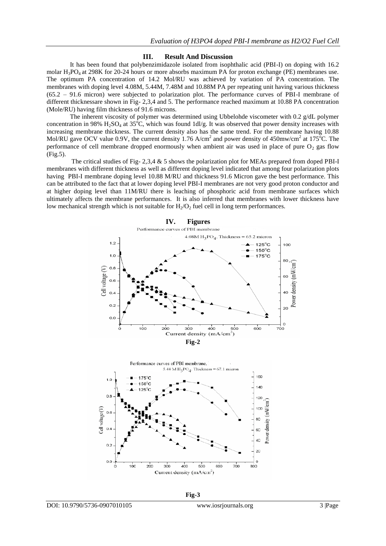#### **III. Result And Discussion**

It has been found that polybenzimidazole isolated from isophthalic acid (PBI-I) on doping with 16.2 molar H<sub>3</sub>PO<sub>4</sub> at 298K for 20-24 hours or more absorbs maximum PA for proton exchange (PE) membranes use. The optimum PA concentration of 14.2 Mol/RU was achieved by variation of PA concentration. The membranes with doping level 4.08M, 5.44M, 7.48M and 10.88M PA per repeating unit having various thickness (65.2 – 91.6 micron) were subjected to polarization plot. The performance curves of PBI-I membrane of different thicknessare shown in Fig- 2,3,4 and 5. The performance reached maximum at 10.88 PA concentration (Mole/RU) having film thickness of 91.6 microns.

The inherent viscosity of polymer was determined using Ubbelohde viscometer with 0.2 g/dL polymer concentration in 98%  $H_2SO_4$  at 35<sup>o</sup>C, which was found 1dl/g. It was observed that power density increases with increasing membrane thickness. The current density also has the same trend. For the membrane having 10.88 Mol/RU gave OCV value 0.9V, the current density 1.76 A/cm<sup>2</sup> and power density of 450mw/cm<sup>2</sup> at 175<sup>o</sup>C. The performance of cell membrane dropped enormously when ambient air was used in place of pure  $O<sub>2</sub>$  gas flow (Fig.5).

The critical studies of Fig- 2,3,4 & 5 shows the polarization plot for MEAs prepared from doped PBI-I membranes with different thickness as well as different doping level indicated that among four polarization plots having PBI-I membrane doping level 10.88 M/RU and thickness 91.6 Micron gave the best performance. This can be attributed to the fact that at lower doping level PBI-I membranes are not very good proton conductor and at higher doping level than 11M/RU there is leaching of phosphoric acid from membrane surfaces which ultimately affects the membrane performances. It is also inferred that membranes with lower thickness have low mechanical strength which is not suitable for  $H_2/O_2$  fuel cell in long term performances.

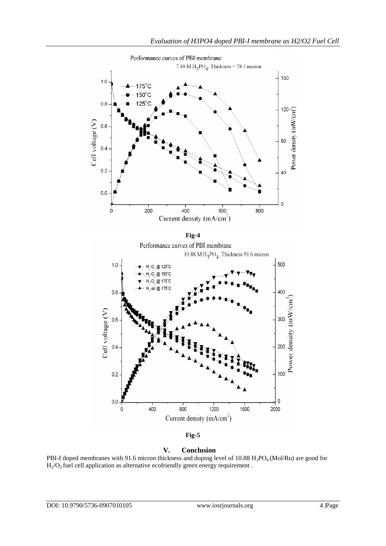

Performance curves of PBI membrane

**Fig-5**

**V. Conclusion**

PBI-I doped membranes with 91.6 micron thickness and doping level of 10.88 H<sub>3</sub>PO<sub>4</sub> (Mol/Ru) are good for  $H<sub>2</sub>/O<sub>2</sub>$  fuel cell application as alternative ecofriendly green energy requirement.